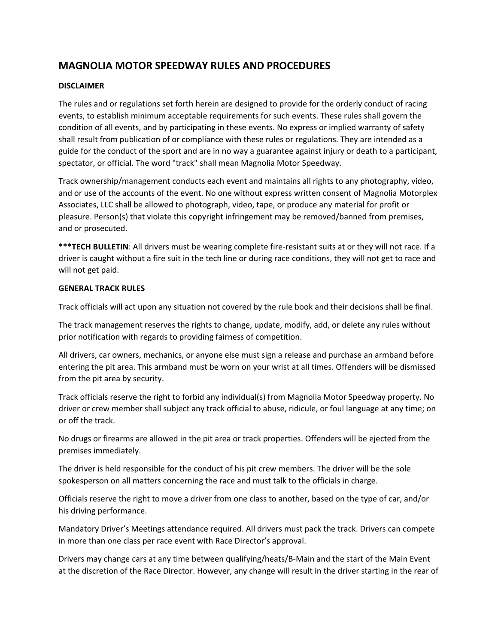# **MAGNOLIA MOTOR SPEEDWAY RULES AND PROCEDURES**

# **DISCLAIMER**

The rules and or regulations set forth herein are designed to provide for the orderly conduct of racing events, to establish minimum acceptable requirements for such events. These rules shall govern the condition of all events, and by participating in these events. No express or implied warranty of safety shall result from publication of or compliance with these rules or regulations. They are intended as a guide for the conduct of the sport and are in no way a guarantee against injury or death to a participant, spectator, or official. The word "track" shall mean Magnolia Motor Speedway.

Track ownership/management conducts each event and maintains all rights to any photography, video, and or use of the accounts of the event. No one without express written consent of Magnolia Motorplex Associates, LLC shall be allowed to photograph, video, tape, or produce any material for profit or pleasure. Person(s) that violate this copyright infringement may be removed/banned from premises, and or prosecuted.

**\*\*\*TECH BULLETIN**: All drivers must be wearing complete fire‐resistant suits at or they will not race. If a driver is caught without a fire suit in the tech line or during race conditions, they will not get to race and will not get paid.

### **GENERAL TRACK RULES**

Track officials will act upon any situation not covered by the rule book and their decisions shall be final.

The track management reserves the rights to change, update, modify, add, or delete any rules without prior notification with regards to providing fairness of competition.

All drivers, car owners, mechanics, or anyone else must sign a release and purchase an armband before entering the pit area. This armband must be worn on your wrist at all times. Offenders will be dismissed from the pit area by security.

Track officials reserve the right to forbid any individual(s) from Magnolia Motor Speedway property. No driver or crew member shall subject any track official to abuse, ridicule, or foul language at any time; on or off the track.

No drugs or firearms are allowed in the pit area or track properties. Offenders will be ejected from the premises immediately.

The driver is held responsible for the conduct of his pit crew members. The driver will be the sole spokesperson on all matters concerning the race and must talk to the officials in charge.

Officials reserve the right to move a driver from one class to another, based on the type of car, and/or his driving performance.

Mandatory Driver's Meetings attendance required. All drivers must pack the track. Drivers can compete in more than one class per race event with Race Director's approval.

Drivers may change cars at any time between qualifying/heats/B‐Main and the start of the Main Event at the discretion of the Race Director. However, any change will result in the driver starting in the rear of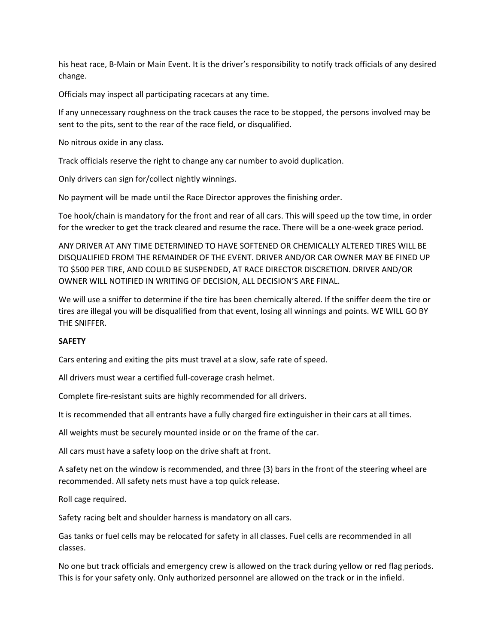his heat race, B‐Main or Main Event. It is the driver's responsibility to notify track officials of any desired change.

Officials may inspect all participating racecars at any time.

If any unnecessary roughness on the track causes the race to be stopped, the persons involved may be sent to the pits, sent to the rear of the race field, or disqualified.

No nitrous oxide in any class.

Track officials reserve the right to change any car number to avoid duplication.

Only drivers can sign for/collect nightly winnings.

No payment will be made until the Race Director approves the finishing order.

Toe hook/chain is mandatory for the front and rear of all cars. This will speed up the tow time, in order for the wrecker to get the track cleared and resume the race. There will be a one-week grace period.

ANY DRIVER AT ANY TIME DETERMINED TO HAVE SOFTENED OR CHEMICALLY ALTERED TIRES WILL BE DISQUALIFIED FROM THE REMAINDER OF THE EVENT. DRIVER AND/OR CAR OWNER MAY BE FINED UP TO \$500 PER TIRE, AND COULD BE SUSPENDED, AT RACE DIRECTOR DISCRETION. DRIVER AND/OR OWNER WILL NOTIFIED IN WRITING OF DECISION, ALL DECISION'S ARE FINAL.

We will use a sniffer to determine if the tire has been chemically altered. If the sniffer deem the tire or tires are illegal you will be disqualified from that event, losing all winnings and points. WE WILL GO BY THE SNIFFER.

# **SAFETY**

Cars entering and exiting the pits must travel at a slow, safe rate of speed.

All drivers must wear a certified full‐coverage crash helmet.

Complete fire‐resistant suits are highly recommended for all drivers.

It is recommended that all entrants have a fully charged fire extinguisher in their cars at all times.

All weights must be securely mounted inside or on the frame of the car.

All cars must have a safety loop on the drive shaft at front.

A safety net on the window is recommended, and three (3) bars in the front of the steering wheel are recommended. All safety nets must have a top quick release.

Roll cage required.

Safety racing belt and shoulder harness is mandatory on all cars.

Gas tanks or fuel cells may be relocated for safety in all classes. Fuel cells are recommended in all classes.

No one but track officials and emergency crew is allowed on the track during yellow or red flag periods. This is for your safety only. Only authorized personnel are allowed on the track or in the infield.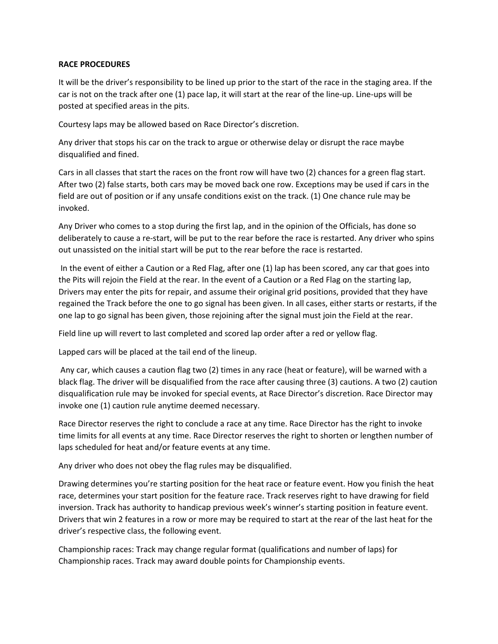### **RACE PROCEDURES**

It will be the driver's responsibility to be lined up prior to the start of the race in the staging area. If the car is not on the track after one (1) pace lap, it will start at the rear of the line‐up. Line‐ups will be posted at specified areas in the pits.

Courtesy laps may be allowed based on Race Director's discretion.

Any driver that stops his car on the track to argue or otherwise delay or disrupt the race maybe disqualified and fined.

Cars in all classes that start the races on the front row will have two (2) chances for a green flag start. After two (2) false starts, both cars may be moved back one row. Exceptions may be used if cars in the field are out of position or if any unsafe conditions exist on the track. (1) One chance rule may be invoked.

Any Driver who comes to a stop during the first lap, and in the opinion of the Officials, has done so deliberately to cause a re‐start, will be put to the rear before the race is restarted. Any driver who spins out unassisted on the initial start will be put to the rear before the race is restarted.

In the event of either a Caution or a Red Flag, after one (1) lap has been scored, any car that goes into the Pits will rejoin the Field at the rear. In the event of a Caution or a Red Flag on the starting lap, Drivers may enter the pits for repair, and assume their original grid positions, provided that they have regained the Track before the one to go signal has been given. In all cases, either starts or restarts, if the one lap to go signal has been given, those rejoining after the signal must join the Field at the rear.

Field line up will revert to last completed and scored lap order after a red or yellow flag.

Lapped cars will be placed at the tail end of the lineup.

Any car, which causes a caution flag two (2) times in any race (heat or feature), will be warned with a black flag. The driver will be disqualified from the race after causing three (3) cautions. A two (2) caution disqualification rule may be invoked for special events, at Race Director's discretion. Race Director may invoke one (1) caution rule anytime deemed necessary.

Race Director reserves the right to conclude a race at any time. Race Director has the right to invoke time limits for all events at any time. Race Director reserves the right to shorten or lengthen number of laps scheduled for heat and/or feature events at any time.

Any driver who does not obey the flag rules may be disqualified.

Drawing determines you're starting position for the heat race or feature event. How you finish the heat race, determines your start position for the feature race. Track reserves right to have drawing for field inversion. Track has authority to handicap previous week's winner's starting position in feature event. Drivers that win 2 features in a row or more may be required to start at the rear of the last heat for the driver's respective class, the following event.

Championship races: Track may change regular format (qualifications and number of laps) for Championship races. Track may award double points for Championship events.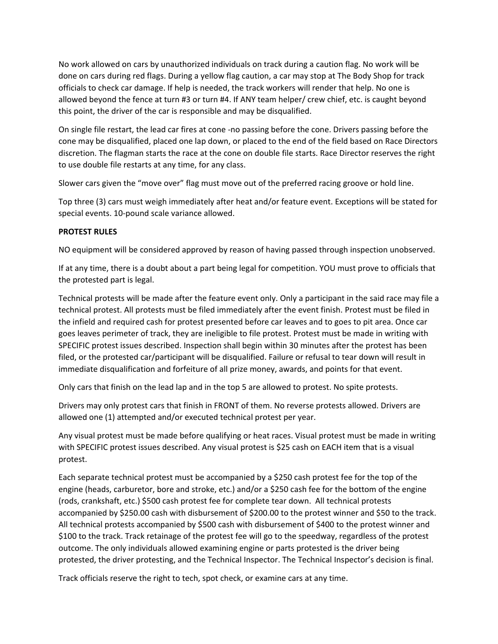No work allowed on cars by unauthorized individuals on track during a caution flag. No work will be done on cars during red flags. During a yellow flag caution, a car may stop at The Body Shop for track officials to check car damage. If help is needed, the track workers will render that help. No one is allowed beyond the fence at turn #3 or turn #4. If ANY team helper/ crew chief, etc. is caught beyond this point, the driver of the car is responsible and may be disqualified.

On single file restart, the lead car fires at cone ‐no passing before the cone. Drivers passing before the cone may be disqualified, placed one lap down, or placed to the end of the field based on Race Directors discretion. The flagman starts the race at the cone on double file starts. Race Director reserves the right to use double file restarts at any time, for any class.

Slower cars given the "move over" flag must move out of the preferred racing groove or hold line.

Top three (3) cars must weigh immediately after heat and/or feature event. Exceptions will be stated for special events. 10‐pound scale variance allowed.

# **PROTEST RULES**

NO equipment will be considered approved by reason of having passed through inspection unobserved.

If at any time, there is a doubt about a part being legal for competition. YOU must prove to officials that the protested part is legal.

Technical protests will be made after the feature event only. Only a participant in the said race may file a technical protest. All protests must be filed immediately after the event finish. Protest must be filed in the infield and required cash for protest presented before car leaves and to goes to pit area. Once car goes leaves perimeter of track, they are ineligible to file protest. Protest must be made in writing with SPECIFIC protest issues described. Inspection shall begin within 30 minutes after the protest has been filed, or the protested car/participant will be disqualified. Failure or refusal to tear down will result in immediate disqualification and forfeiture of all prize money, awards, and points for that event.

Only cars that finish on the lead lap and in the top 5 are allowed to protest. No spite protests.

Drivers may only protest cars that finish in FRONT of them. No reverse protests allowed. Drivers are allowed one (1) attempted and/or executed technical protest per year.

Any visual protest must be made before qualifying or heat races. Visual protest must be made in writing with SPECIFIC protest issues described. Any visual protest is \$25 cash on EACH item that is a visual protest.

Each separate technical protest must be accompanied by a \$250 cash protest fee for the top of the engine (heads, carburetor, bore and stroke, etc.) and/or a \$250 cash fee for the bottom of the engine (rods, crankshaft, etc.) \$500 cash protest fee for complete tear down. All technical protests accompanied by \$250.00 cash with disbursement of \$200.00 to the protest winner and \$50 to the track. All technical protests accompanied by \$500 cash with disbursement of \$400 to the protest winner and \$100 to the track. Track retainage of the protest fee will go to the speedway, regardless of the protest outcome. The only individuals allowed examining engine or parts protested is the driver being protested, the driver protesting, and the Technical Inspector. The Technical Inspector's decision is final.

Track officials reserve the right to tech, spot check, or examine cars at any time.